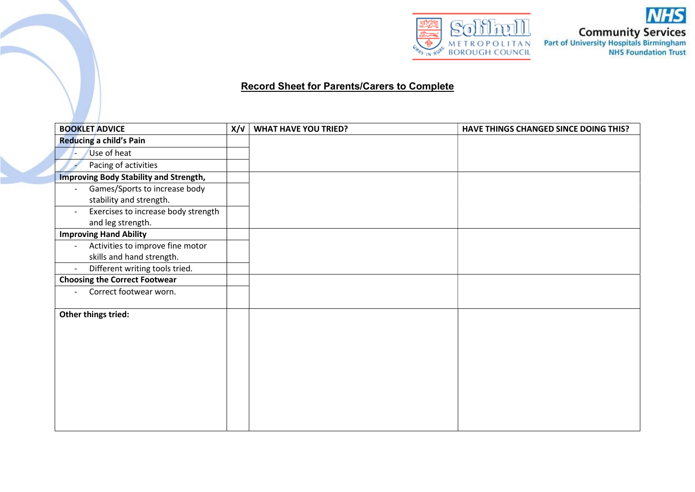

**NHS Community Services**<br>Part of University Hospitals Birmingham<br>NHS Foundation Trust

## Record Sheet for Parents/Carers to Complete

| <b>BOOKLET ADVICE</b>                              | X/V | <b>WHAT HAVE YOU TRIED?</b> | HAVE THINGS CHANGED SINCE DOING THIS? |
|----------------------------------------------------|-----|-----------------------------|---------------------------------------|
| <b>Reducing a child's Pain</b>                     |     |                             |                                       |
| Use of heat                                        |     |                             |                                       |
| Pacing of activities                               |     |                             |                                       |
| <b>Improving Body Stability and Strength,</b>      |     |                             |                                       |
| Games/Sports to increase body                      |     |                             |                                       |
| stability and strength.                            |     |                             |                                       |
| Exercises to increase body strength                |     |                             |                                       |
| and leg strength.                                  |     |                             |                                       |
| <b>Improving Hand Ability</b>                      |     |                             |                                       |
| Activities to improve fine motor                   |     |                             |                                       |
| skills and hand strength.                          |     |                             |                                       |
| Different writing tools tried.                     |     |                             |                                       |
| <b>Choosing the Correct Footwear</b>               |     |                             |                                       |
| Correct footwear worn.<br>$\overline{\phantom{0}}$ |     |                             |                                       |
| Other things tried:                                |     |                             |                                       |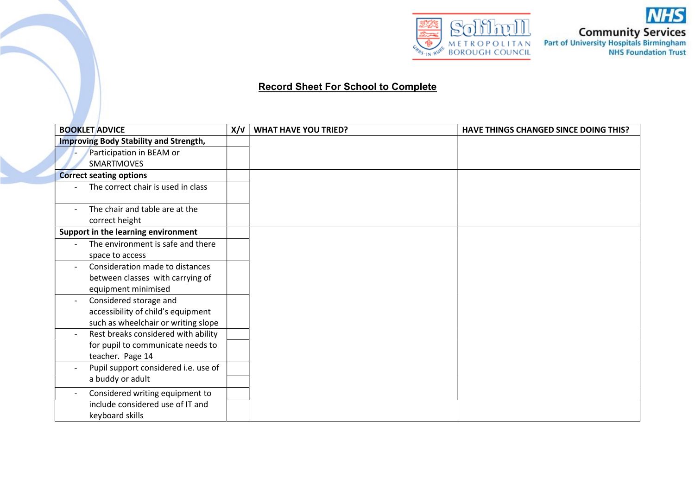

**NHS Community Services**<br>Part of University Hospitals Birmingham<br>NHS Foundation Trust

## Record Sheet For School to Complete

| <b>BOOKLET ADVICE</b>                         | X/V | <b>WHAT HAVE YOU TRIED?</b> | <b>HAVE THINGS CHANGED SINCE DOING THIS?</b> |
|-----------------------------------------------|-----|-----------------------------|----------------------------------------------|
| <b>Improving Body Stability and Strength,</b> |     |                             |                                              |
| Participation in BEAM or                      |     |                             |                                              |
| <b>SMARTMOVES</b>                             |     |                             |                                              |
| <b>Correct seating options</b>                |     |                             |                                              |
| The correct chair is used in class            |     |                             |                                              |
|                                               |     |                             |                                              |
| The chair and table are at the                |     |                             |                                              |
| correct height                                |     |                             |                                              |
| Support in the learning environment           |     |                             |                                              |
| The environment is safe and there             |     |                             |                                              |
| space to access                               |     |                             |                                              |
| Consideration made to distances               |     |                             |                                              |
| between classes with carrying of              |     |                             |                                              |
| equipment minimised                           |     |                             |                                              |
| Considered storage and                        |     |                             |                                              |
| accessibility of child's equipment            |     |                             |                                              |
| such as wheelchair or writing slope           |     |                             |                                              |
| Rest breaks considered with ability           |     |                             |                                              |
| for pupil to communicate needs to             |     |                             |                                              |
| teacher. Page 14                              |     |                             |                                              |
| Pupil support considered i.e. use of          |     |                             |                                              |
| a buddy or adult                              |     |                             |                                              |
| Considered writing equipment to               |     |                             |                                              |
| include considered use of IT and              |     |                             |                                              |
| keyboard skills                               |     |                             |                                              |